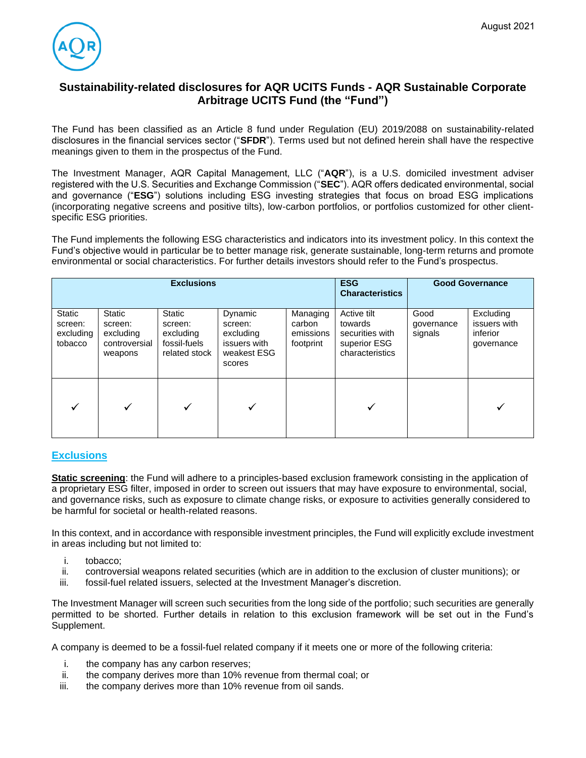

# **Sustainability-related disclosures for AQR UCITS Funds - AQR Sustainable Corporate Arbitrage UCITS Fund (the "Fund")**

The Fund has been classified as an Article 8 fund under Regulation (EU) 2019/2088 on sustainability-related disclosures in the financial services sector ("**SFDR**"). Terms used but not defined herein shall have the respective meanings given to them in the prospectus of the Fund.

The Investment Manager, AQR Capital Management, LLC ("**AQR**"), is a U.S. domiciled investment adviser registered with the U.S. Securities and Exchange Commission ("**SEC**"). AQR offers dedicated environmental, social and governance ("**ESG**") solutions including ESG investing strategies that focus on broad ESG implications (incorporating negative screens and positive tilts), low-carbon portfolios, or portfolios customized for other clientspecific ESG priorities.

The Fund implements the following ESG characteristics and indicators into its investment policy. In this context the Fund's objective would in particular be to better manage risk, generate sustainable, long-term returns and promote environmental or social characteristics. For further details investors should refer to the Fund's prospectus.

| <b>Exclusions</b>                         |                                                            |                                                                 |                                                                          |                                              | <b>ESG</b><br><b>Characteristics</b>                                         | <b>Good Governance</b>        |                                                     |
|-------------------------------------------|------------------------------------------------------------|-----------------------------------------------------------------|--------------------------------------------------------------------------|----------------------------------------------|------------------------------------------------------------------------------|-------------------------------|-----------------------------------------------------|
| Static<br>screen:<br>excluding<br>tobacco | Static<br>screen:<br>excluding<br>controversial<br>weapons | Static<br>screen:<br>excluding<br>fossil-fuels<br>related stock | Dynamic<br>screen:<br>excluding<br>issuers with<br>weakest ESG<br>scores | Managing<br>carbon<br>emissions<br>footprint | Active tilt<br>towards<br>securities with<br>superior ESG<br>characteristics | Good<br>governance<br>signals | Excluding<br>issuers with<br>inferior<br>governance |
|                                           |                                                            |                                                                 |                                                                          |                                              |                                                                              |                               |                                                     |

## **Exclusions**

**Static screening**: the Fund will adhere to a principles-based exclusion framework consisting in the application of a proprietary ESG filter, imposed in order to screen out issuers that may have exposure to environmental, social, and governance risks, such as exposure to climate change risks, or exposure to activities generally considered to be harmful for societal or health-related reasons.

In this context, and in accordance with responsible investment principles, the Fund will explicitly exclude investment in areas including but not limited to:

- i. tobacco;
- ii. controversial weapons related securities (which are in addition to the exclusion of cluster munitions); or
- iii. fossil-fuel related issuers, selected at the Investment Manager's discretion.

The Investment Manager will screen such securities from the long side of the portfolio; such securities are generally permitted to be shorted. Further details in relation to this exclusion framework will be set out in the Fund's Supplement.

A company is deemed to be a fossil-fuel related company if it meets one or more of the following criteria:

- i. the company has any carbon reserves;
- ii. the company derives more than 10% revenue from thermal coal; or
- iii. the company derives more than 10% revenue from oil sands.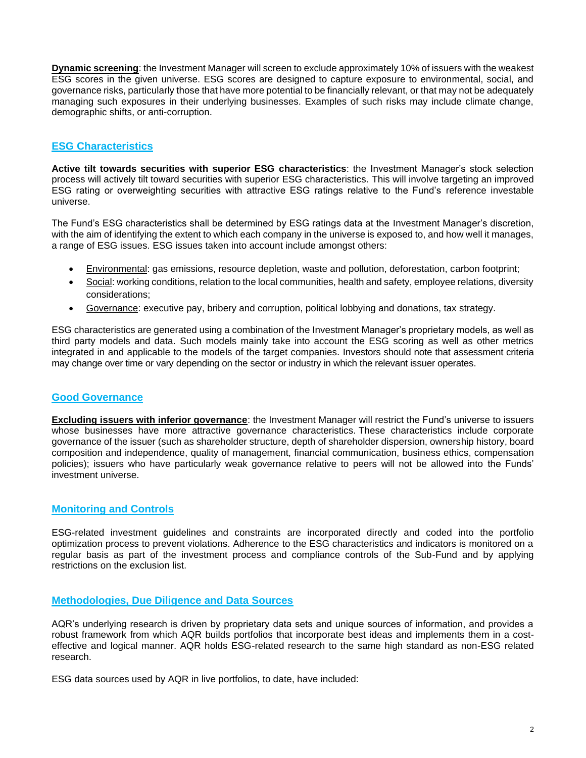**Dynamic screening**: the Investment Manager will screen to exclude approximately 10% of issuers with the weakest ESG scores in the given universe. ESG scores are designed to capture exposure to environmental, social, and governance risks, particularly those that have more potential to be financially relevant, or that may not be adequately managing such exposures in their underlying businesses. Examples of such risks may include climate change, demographic shifts, or anti-corruption.

## **ESG Characteristics**

**Active tilt towards securities with superior ESG characteristics**: the Investment Manager's stock selection process will actively tilt toward securities with superior ESG characteristics. This will involve targeting an improved ESG rating or overweighting securities with attractive ESG ratings relative to the Fund's reference investable universe.

The Fund's ESG characteristics shall be determined by ESG ratings data at the Investment Manager's discretion, with the aim of identifying the extent to which each company in the universe is exposed to, and how well it manages, a range of ESG issues. ESG issues taken into account include amongst others:

- Environmental: gas emissions, resource depletion, waste and pollution, deforestation, carbon footprint;
- Social: working conditions, relation to the local communities, health and safety, employee relations, diversity considerations;
- Governance: executive pay, bribery and corruption, political lobbying and donations, tax strategy.

ESG characteristics are generated using a combination of the Investment Manager's proprietary models, as well as third party models and data. Such models mainly take into account the ESG scoring as well as other metrics integrated in and applicable to the models of the target companies. Investors should note that assessment criteria may change over time or vary depending on the sector or industry in which the relevant issuer operates.

### **Good Governance**

**Excluding issuers with inferior governance**: the Investment Manager will restrict the Fund's universe to issuers whose businesses have more attractive governance characteristics. These characteristics include corporate governance of the issuer (such as shareholder structure, depth of shareholder dispersion, ownership history, board composition and independence, quality of management, financial communication, business ethics, compensation policies); issuers who have particularly weak governance relative to peers will not be allowed into the Funds' investment universe.

## **Monitoring and Controls**

ESG-related investment guidelines and constraints are incorporated directly and coded into the portfolio optimization process to prevent violations. Adherence to the ESG characteristics and indicators is monitored on a regular basis as part of the investment process and compliance controls of the Sub-Fund and by applying restrictions on the exclusion list.

### **Methodologies, Due Diligence and Data Sources**

AQR's underlying research is driven by proprietary data sets and unique sources of information, and provides a robust framework from which AQR builds portfolios that incorporate best ideas and implements them in a costeffective and logical manner. AQR holds ESG-related research to the same high standard as non-ESG related research.

ESG data sources used by AQR in live portfolios, to date, have included: